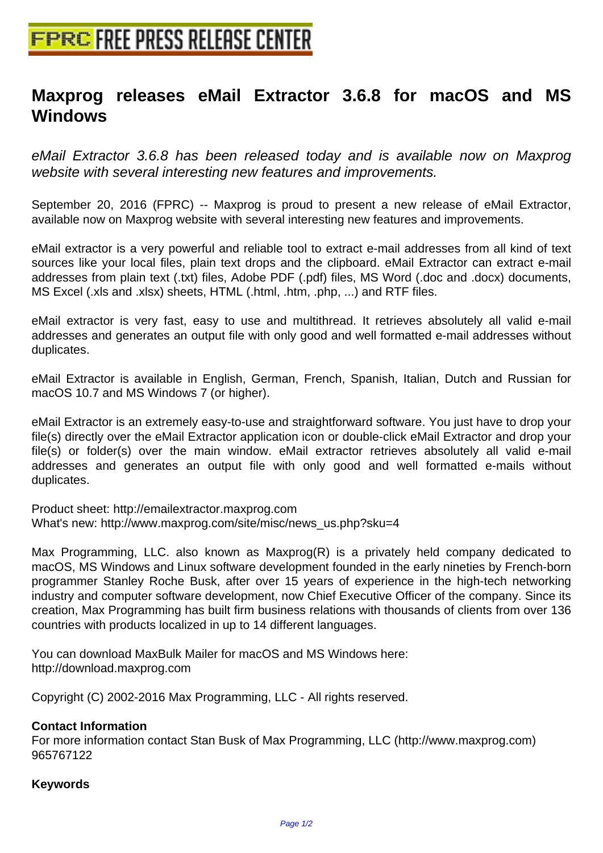## **[Maxprog releases eMail Extract](http://www.free-press-release-center.info)or 3.6.8 for macOS and MS Windows**

eMail Extractor 3.6.8 has been released today and is available now on Maxprog website with several interesting new features and improvements.

September 20, 2016 (FPRC) -- Maxprog is proud to present a new release of eMail Extractor, available now on Maxprog website with several interesting new features and improvements.

eMail extractor is a very powerful and reliable tool to extract e-mail addresses from all kind of text sources like your local files, plain text drops and the clipboard. eMail Extractor can extract e-mail addresses from plain text (.txt) files, Adobe PDF (.pdf) files, MS Word (.doc and .docx) documents, MS Excel (.xls and .xlsx) sheets, HTML (.html, .htm, .php, ...) and RTF files.

eMail extractor is very fast, easy to use and multithread. It retrieves absolutely all valid e-mail addresses and generates an output file with only good and well formatted e-mail addresses without duplicates.

eMail Extractor is available in English, German, French, Spanish, Italian, Dutch and Russian for macOS 10.7 and MS Windows 7 (or higher).

eMail Extractor is an extremely easy-to-use and straightforward software. You just have to drop your file(s) directly over the eMail Extractor application icon or double-click eMail Extractor and drop your file(s) or folder(s) over the main window. eMail extractor retrieves absolutely all valid e-mail addresses and generates an output file with only good and well formatted e-mails without duplicates.

Product sheet: http://emailextractor.maxprog.com What's new: http://www.maxprog.com/site/misc/news\_us.php?sku=4

Max Programming, LLC. also known as Maxprog(R) is a privately held company dedicated to macOS, MS Windows and Linux software development founded in the early nineties by French-born programmer Stanley Roche Busk, after over 15 years of experience in the high-tech networking industry and computer software development, now Chief Executive Officer of the company. Since its creation, Max Programming has built firm business relations with thousands of clients from over 136 countries with products localized in up to 14 different languages.

You can download MaxBulk Mailer for macOS and MS Windows here: http://download.maxprog.com

Copyright (C) 2002-2016 Max Programming, LLC - All rights reserved.

## **Contact Information**

For more information contact Stan Busk of Max Programming, LLC (http://www.maxprog.com) 965767122

## **Keywords**